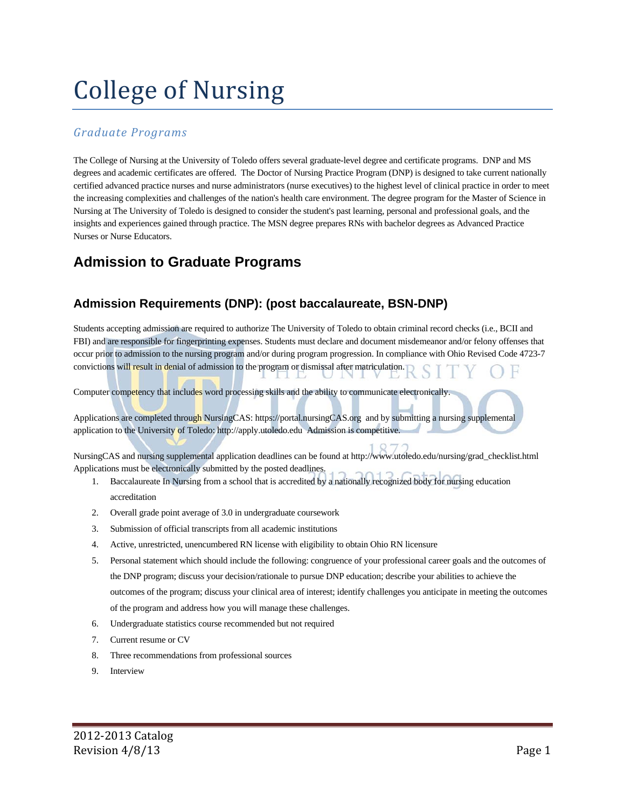# College of Nursing

#### *Graduate Programs*

The College of Nursing at the University of Toledo offers several graduate-level degree and certificate programs. DNP and MS degrees and academic certificates are offered. The Doctor of Nursing Practice Program (DNP) is designed to take current nationally certified advanced practice nurses and nurse administrators (nurse executives) to the highest level of clinical practice in order to meet the increasing complexities and challenges of the nation's health care environment. The degree program for the Master of Science in Nursing at The University of Toledo is designed to consider the student's past learning, personal and professional goals, and the insights and experiences gained through practice. The MSN degree prepares RNs with bachelor degrees as Advanced Practice Nurses or Nurse Educators.

# **Admission to Graduate Programs**

## **Admission Requirements (DNP): (post baccalaureate, BSN-DNP)**

Students accepting admission are required to authorize The University of Toledo to obtain criminal record checks (i.e., BCII and FBI) and are responsible for fingerprinting expenses. Students must declare and document misdemeanor and/or felony offenses that occur prior to admission to the nursing program and/or during program progression. In compliance with Ohio Revised Code 4723-7 convictions will result in denial of admission to the program or dismissal after matriculation.

Computer competency that includes word processing skills and the ability to communicate electronically.

Applications are completed through NursingCAS: https://portal.nursingCAS.org and by submitting a nursing supplemental application to the University of Toledo: http://apply.utoledo.edu Admission is competitive.

NursingCAS and nursing supplemental application deadlines can be found at http://www.utoledo.edu/nursing/grad\_checklist.html Applications must be electronically submitted by the posted deadlines.

- 1. Baccalaureate In Nursing from a school that is accredited by a nationally recognized body for nursing education accreditation
- 2. Overall grade point average of 3.0 in undergraduate coursework
- 3. Submission of official transcripts from all academic institutions
- 4. Active, unrestricted, unencumbered RN license with eligibility to obtain Ohio RN licensure
- 5. Personal statement which should include the following: congruence of your professional career goals and the outcomes of the DNP program; discuss your decision/rationale to pursue DNP education; describe your abilities to achieve the outcomes of the program; discuss your clinical area of interest; identify challenges you anticipate in meeting the outcomes of the program and address how you will manage these challenges.
- 6. Undergraduate statistics course recommended but not required
- 7. Current resume or CV
- 8. Three recommendations from professional sources
- 9. Interview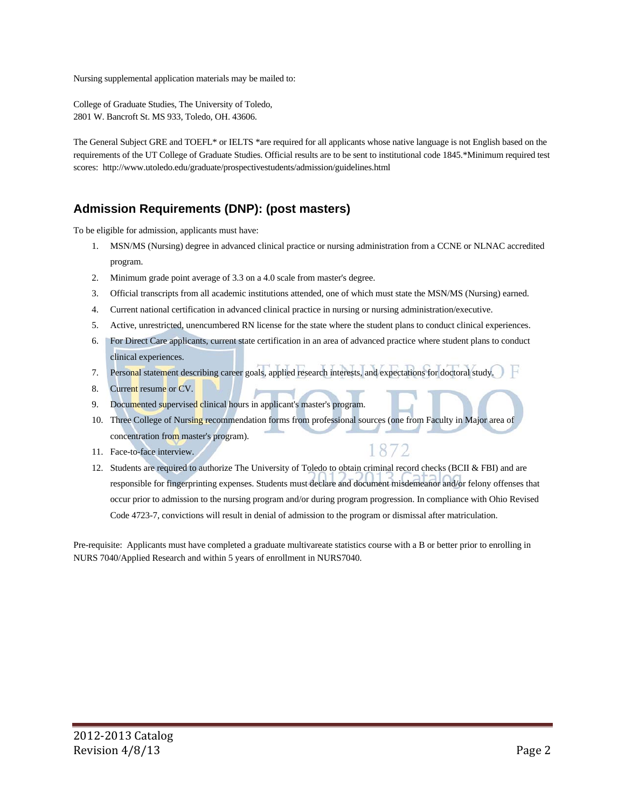Nursing supplemental application materials may be mailed to:

College of Graduate Studies, The University of Toledo, 2801 W. Bancroft St. MS 933, Toledo, OH. 43606.

The General Subject GRE and TOEFL\* or IELTS \*are required for all applicants whose native language is not English based on the requirements of the UT College of Graduate Studies. Official results are to be sent to institutional code 1845.\*Minimum required test scores: http://www.utoledo.edu/graduate/prospectivestudents/admission/guidelines.html

### **Admission Requirements (DNP): (post masters)**

To be eligible for admission, applicants must have:

- 1. MSN/MS (Nursing) degree in advanced clinical practice or nursing administration from a CCNE or NLNAC accredited program.
- 2. Minimum grade point average of 3.3 on a 4.0 scale from master's degree.
- 3. Official transcripts from all academic institutions attended, one of which must state the MSN/MS (Nursing) earned.
- 4. Current national certification in advanced clinical practice in nursing or nursing administration/executive.
- 5. Active, unrestricted, unencumbered RN license for the state where the student plans to conduct clinical experiences.
- 6. For Direct Care applicants, current state certification in an area of advanced practice where student plans to conduct clinical experiences.
- 7. Personal statement describing career goals, applied research interests, and expectations for doctoral study.
- 8. Current resume or CV.
- 9. Documented supervised clinical hours in applicant's master's program.
- 10. Three College of Nursing recommendation forms from professional sources (one from Faculty in Major area of concentration from master's program).
- 11. Face-to-face interview.
- 12. Students are required to authorize The University of Toledo to obtain criminal record checks (BCII & FBI) and are responsible for fingerprinting expenses. Students must declare and document misdemeanor and/or felony offenses that occur prior to admission to the nursing program and/or during program progression. In compliance with Ohio Revised Code 4723-7, convictions will result in denial of admission to the program or dismissal after matriculation.

1872

Pre-requisite: Applicants must have completed a graduate multivareate statistics course with a B or better prior to enrolling in NURS 7040/Applied Research and within 5 years of enrollment in NURS7040.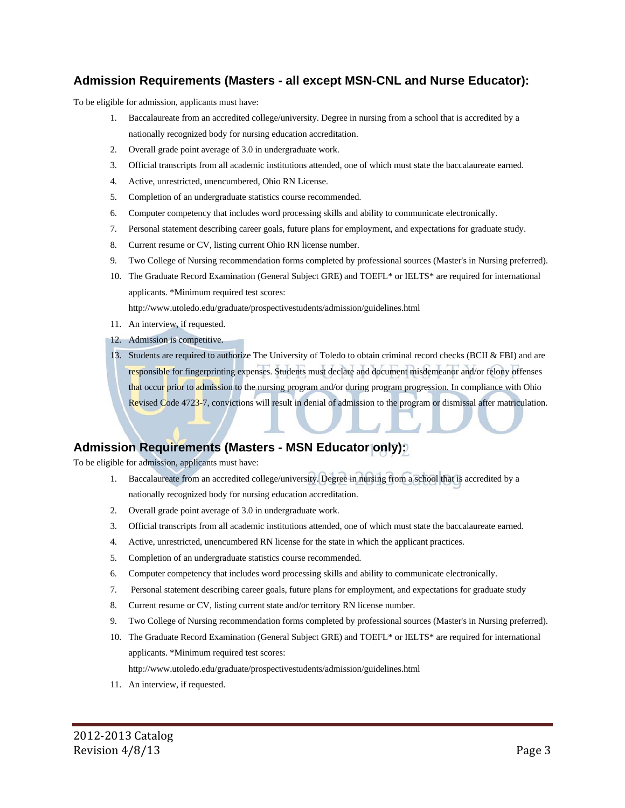#### **Admission Requirements (Masters - all except MSN-CNL and Nurse Educator):**

To be eligible for admission, applicants must have:

- 1. Baccalaureate from an accredited college/university. Degree in nursing from a school that is accredited by a nationally recognized body for nursing education accreditation.
- 2. Overall grade point average of 3.0 in undergraduate work.
- 3. Official transcripts from all academic institutions attended, one of which must state the baccalaureate earned.
- 4. Active, unrestricted, unencumbered, Ohio RN License.
- 5. Completion of an undergraduate statistics course recommended.
- 6. Computer competency that includes word processing skills and ability to communicate electronically.
- 7. Personal statement describing career goals, future plans for employment, and expectations for graduate study.
- 8. Current resume or CV, listing current Ohio RN license number.
- 9. Two College of Nursing recommendation forms completed by professional sources (Master's in Nursing preferred).
- 10. The Graduate Record Examination (General Subject GRE) and TOEFL\* or IELTS\* are required for international applicants. \*Minimum required test scores:

http://www.utoledo.edu/graduate/prospectivestudents/admission/guidelines.html

- 11. An interview, if requested.
- 12. Admission is competitive.
- 13. Students are required to authorize The University of Toledo to obtain criminal record checks (BCII & FBI) and are responsible for fingerprinting expenses. Students must declare and document misdemeanor and/or felony offenses that occur prior to admission to the nursing program and/or during program progression. In compliance with Ohio Revised Code 4723-7, convictions will result in denial of admission to the program or dismissal after matriculation.

#### **Admission Requirements (Masters - MSN Educator only):**

To be eligible for admission, applicants must have:

- 1. Baccalaureate from an accredited college/university. Degree in nursing from a school that is accredited by a nationally recognized body for nursing education accreditation.
- 2. Overall grade point average of 3.0 in undergraduate work.
- 3. Official transcripts from all academic institutions attended, one of which must state the baccalaureate earned.
- 4. Active, unrestricted, unencumbered RN license for the state in which the applicant practices.
- 5. Completion of an undergraduate statistics course recommended.
- 6. Computer competency that includes word processing skills and ability to communicate electronically.
- 7. Personal statement describing career goals, future plans for employment, and expectations for graduate study
- 8. Current resume or CV, listing current state and/or territory RN license number.
- 9. Two College of Nursing recommendation forms completed by professional sources (Master's in Nursing preferred).
- 10. The Graduate Record Examination (General Subject GRE) and TOEFL\* or IELTS\* are required for international applicants. \*Minimum required test scores:

http://www.utoledo.edu/graduate/prospectivestudents/admission/guidelines.html

11. An interview, if requested.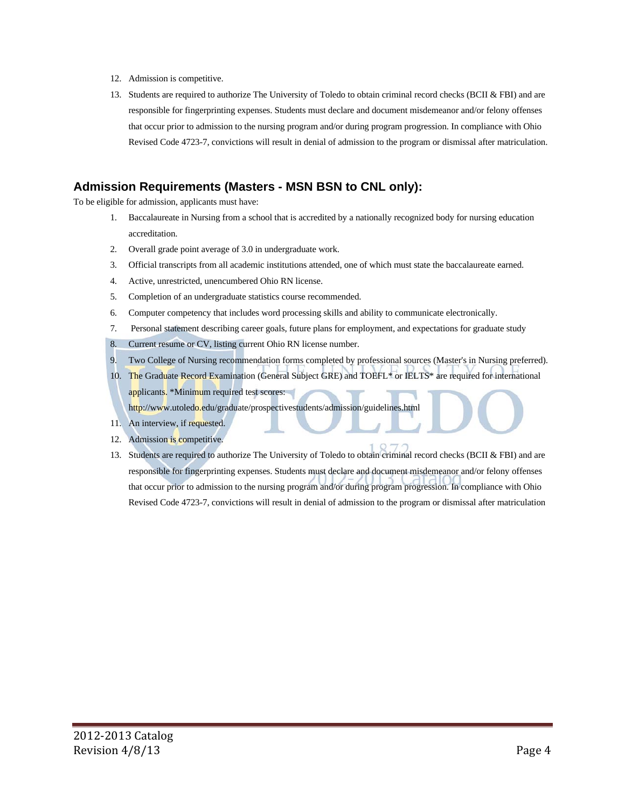- 12. Admission is competitive.
- 13. Students are required to authorize The University of Toledo to obtain criminal record checks (BCII & FBI) and are responsible for fingerprinting expenses. Students must declare and document misdemeanor and/or felony offenses that occur prior to admission to the nursing program and/or during program progression. In compliance with Ohio Revised Code 4723-7, convictions will result in denial of admission to the program or dismissal after matriculation.

#### **Admission Requirements (Masters - MSN BSN to CNL only):**

To be eligible for admission, applicants must have:

- 1. Baccalaureate in Nursing from a school that is accredited by a nationally recognized body for nursing education accreditation.
- 2. Overall grade point average of 3.0 in undergraduate work.
- 3. Official transcripts from all academic institutions attended, one of which must state the baccalaureate earned.
- 4. Active, unrestricted, unencumbered Ohio RN license.
- 5. Completion of an undergraduate statistics course recommended.
- 6. Computer competency that includes word processing skills and ability to communicate electronically.
- 7. Personal statement describing career goals, future plans for employment, and expectations for graduate study

8. Current resume or CV, listing current Ohio RN license number.

- 9. Two College of Nursing recommendation forms completed by professional sources (Master's in Nursing preferred).
- 10. The Graduate Record Examination (General Subject GRE) and TOEFL\* or IELTS\* are required for international applicants. \*Minimum required test scores: http://www.utoledo.edu/graduate/prospectivestudents/admission/guidelines.html
- 11. An interview, if requested.
- 12. Admission is competitive.
- 13. Students are required to authorize The University of Toledo to obtain criminal record checks (BCII & FBI) and are responsible for fingerprinting expenses. Students must declare and document misdemeanor and/or felony offenses that occur prior to admission to the nursing program and/or during program progression. In compliance with Ohio Revised Code 4723-7, convictions will result in denial of admission to the program or dismissal after matriculation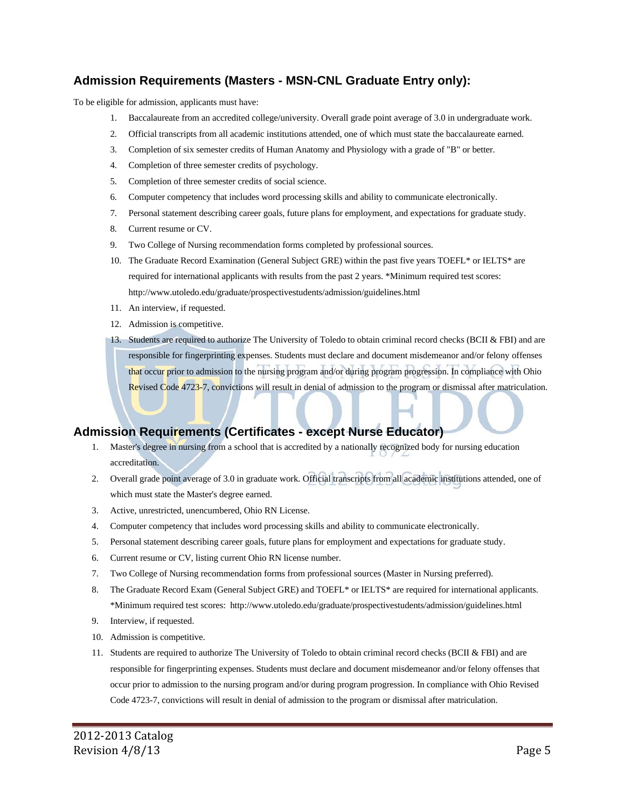#### **Admission Requirements (Masters - MSN-CNL Graduate Entry only):**

To be eligible for admission, applicants must have:

- 1. Baccalaureate from an accredited college/university. Overall grade point average of 3.0 in undergraduate work.
- 2. Official transcripts from all academic institutions attended, one of which must state the baccalaureate earned.
- 3. Completion of six semester credits of Human Anatomy and Physiology with a grade of "B" or better.
- 4. Completion of three semester credits of psychology.
- 5. Completion of three semester credits of social science.
- 6. Computer competency that includes word processing skills and ability to communicate electronically.
- 7. Personal statement describing career goals, future plans for employment, and expectations for graduate study.
- 8. Current resume or CV.
- 9. Two College of Nursing recommendation forms completed by professional sources.
- 10. The Graduate Record Examination (General Subject GRE) within the past five years TOEFL\* or IELTS\* are required for international applicants with results from the past 2 years. \*Minimum required test scores: http://www.utoledo.edu/graduate/prospectivestudents/admission/guidelines.html
- 11. An interview, if requested.
- 12. Admission is competitive.
- 13. Students are required to authorize The University of Toledo to obtain criminal record checks (BCII & FBI) and are responsible for fingerprinting expenses. Students must declare and document misdemeanor and/or felony offenses that occur prior to admission to the nursing program and/or during program progression. In compliance with Ohio Revised Code 4723-7, convictions will result in denial of admission to the program or dismissal after matriculation.

#### **Admission Requirements (Certificates - except Nurse Educator)**

- 1. Master's degree in nursing from a school that is accredited by a nationally recognized body for nursing education accreditation.
- 2. Overall grade point average of 3.0 in graduate work. Official transcripts from all academic institutions attended, one of which must state the Master's degree earned.
- 3. Active, unrestricted, unencumbered, Ohio RN License.
- 4. Computer competency that includes word processing skills and ability to communicate electronically.
- 5. Personal statement describing career goals, future plans for employment and expectations for graduate study.
- 6. Current resume or CV, listing current Ohio RN license number.
- 7. Two College of Nursing recommendation forms from professional sources (Master in Nursing preferred).
- 8. The Graduate Record Exam (General Subject GRE) and TOEFL\* or IELTS\* are required for international applicants. \*Minimum required test scores: http://www.utoledo.edu/graduate/prospectivestudents/admission/guidelines.html
- 9. Interview, if requested.
- 10. Admission is competitive.
- 11. Students are required to authorize The University of Toledo to obtain criminal record checks (BCII & FBI) and are responsible for fingerprinting expenses. Students must declare and document misdemeanor and/or felony offenses that occur prior to admission to the nursing program and/or during program progression. In compliance with Ohio Revised Code 4723-7, convictions will result in denial of admission to the program or dismissal after matriculation.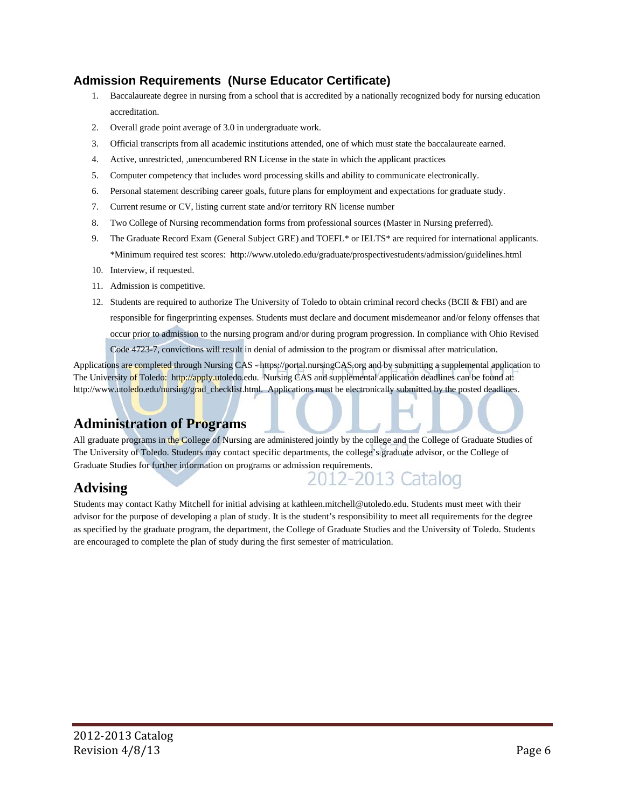### **Admission Requirements (Nurse Educator Certificate)**

- 1. Baccalaureate degree in nursing from a school that is accredited by a nationally recognized body for nursing education accreditation.
- 2. Overall grade point average of 3.0 in undergraduate work.
- 3. Official transcripts from all academic institutions attended, one of which must state the baccalaureate earned.
- 4. Active, unrestricted, ,unencumbered RN License in the state in which the applicant practices
- 5. Computer competency that includes word processing skills and ability to communicate electronically.
- 6. Personal statement describing career goals, future plans for employment and expectations for graduate study.
- 7. Current resume or CV, listing current state and/or territory RN license number
- 8. Two College of Nursing recommendation forms from professional sources (Master in Nursing preferred).
- 9. The Graduate Record Exam (General Subject GRE) and TOEFL<sup>\*</sup> or IELTS<sup>\*</sup> are required for international applicants. \*Minimum required test scores: http://www.utoledo.edu/graduate/prospectivestudents/admission/guidelines.html
- 10. Interview, if requested.
- 11. Admission is competitive.
- 12. Students are required to authorize The University of Toledo to obtain criminal record checks (BCII & FBI) and are responsible for fingerprinting expenses. Students must declare and document misdemeanor and/or felony offenses that occur prior to admission to the nursing program and/or during program progression. In compliance with Ohio Revised Code 4723-7, convictions will result in denial of admission to the program or dismissal after matriculation.

Applications are completed through Nursing CAS - https://portal.nursingCAS.org and by submitting a supplemental application to The University of Toledo: http://apply.utoledo.edu. Nursing CAS and supplemental application deadlines can be found at: http://www.utoledo.edu/nursing/grad\_checklist.html. Applications must be electronically submitted by the posted deadlines.

## **Administration of Programs**

All graduate programs in the College of Nursing are administered jointly by the college and the College of Graduate Studies of The University of Toledo. Students may contact specific departments, the college's graduate advisor, or the College of Graduate Studies for further information on programs or admission requirements.

2-2013

iatalog

# **Advising**

Students may contact Kathy Mitchell for initial advising at kathleen.mitchell@utoledo.edu. Students must meet with their advisor for the purpose of developing a plan of study. It is the student's responsibility to meet all requirements for the degree as specified by the graduate program, the department, the College of Graduate Studies and the University of Toledo. Students are encouraged to complete the plan of study during the first semester of matriculation.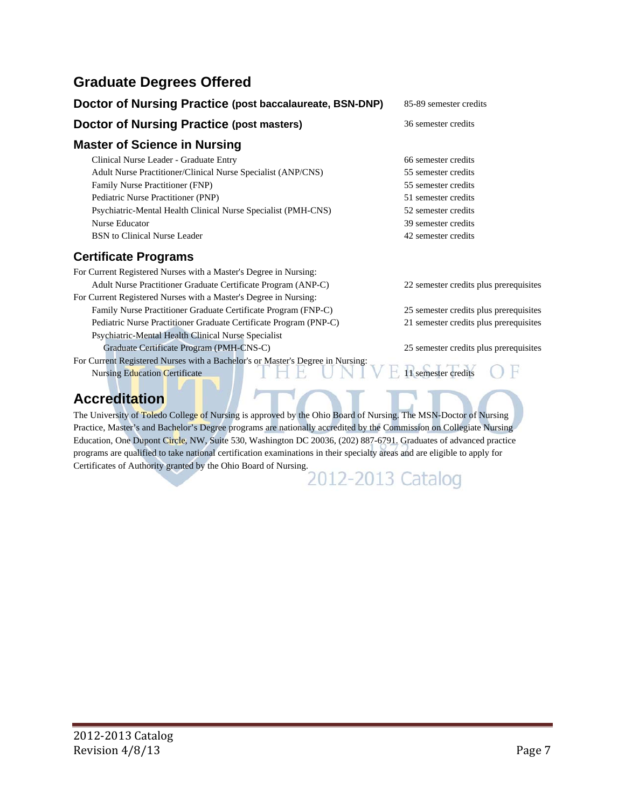# **Graduate Degrees Offered**

| Doctor of Nursing Practice (post baccalaureate, BSN-DNP)         | 85-89 semester credits                 |
|------------------------------------------------------------------|----------------------------------------|
| <b>Doctor of Nursing Practice (post masters)</b>                 | 36 semester credits                    |
| <b>Master of Science in Nursing</b>                              |                                        |
| Clinical Nurse Leader - Graduate Entry                           | 66 semester credits                    |
| Adult Nurse Practitioner/Clinical Nurse Specialist (ANP/CNS)     | 55 semester credits                    |
| Family Nurse Practitioner (FNP)                                  | 55 semester credits                    |
| Pediatric Nurse Practitioner (PNP)                               | 51 semester credits                    |
| Psychiatric-Mental Health Clinical Nurse Specialist (PMH-CNS)    | 52 semester credits                    |
| Nurse Educator                                                   | 39 semester credits                    |
| <b>BSN</b> to Clinical Nurse Leader                              | 42 semester credits                    |
| <b>Certificate Programs</b>                                      |                                        |
| For Current Registered Nurses with a Master's Degree in Nursing: |                                        |
| Adult Nurse Practitioner Graduate Certificate Program (ANP-C)    | 22 semester credits plus prerequisites |
| For Current Registered Nurses with a Master's Degree in Nursing: |                                        |

Family Nurse Practitioner Graduate Certificate Program (FNP-C) 25 semester credits plus prerequisites Pediatric Nurse Practitioner Graduate Certificate Program (PNP-C) 21 semester credits plus prerequisites Psychiatric-Mental Health Clinical Nurse Specialist Graduate Certificate Program (PMH-CNS-C) 25 semester credits plus prerequisites For Current Registered Nurses with a Bachelor's or Master's Degree in Nursing: Nursing Education Certificate 11  $\Box$   $\Box$  11 semester credits

**Accreditation** 

The University of Toledo College of Nursing is approved by the Ohio Board of Nursing. The MSN-Doctor of Nursing Practice, Master's and Bachelor's Degree programs are nationally accredited by the Commission on Collegiate Nursing Education, One Dupont Circle, NW, Suite 530, Washington DC 20036, (202) 887-6791. Graduates of advanced practice programs are qualified to take national certification examinations in their specialty areas and are eligible to apply for Certificates of Authority granted by the Ohio Board of Nursing.<br>2012-2013 Catalog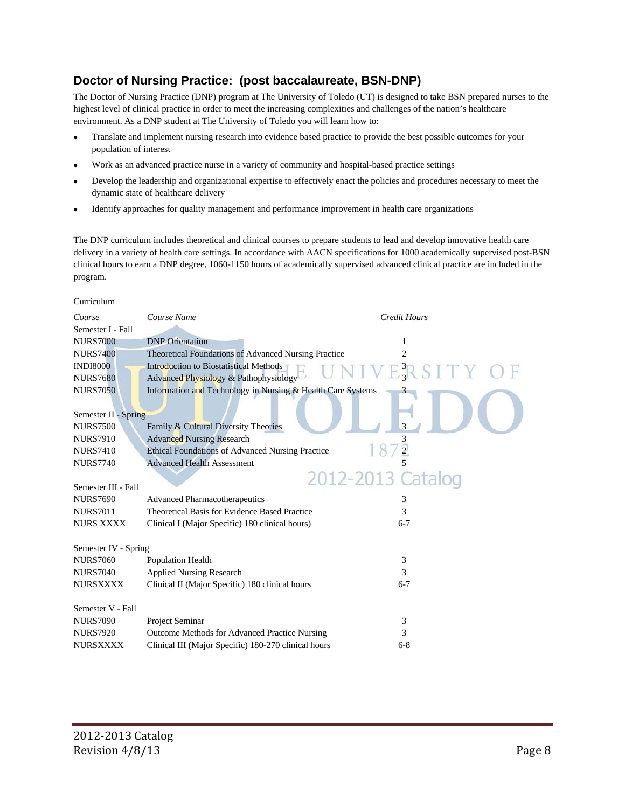#### **Doctor of Nursing Practice: (post baccalaureate, BSN-DNP)**

The Doctor of Nursing Practice (DNP) program at The University of Toledo (UT) is designed to take BSN prepared nurses to the highest level of clinical practice in order to meet the increasing complexities and challenges of the nation's healthcare environment. As a DNP student at The University of Toledo you will learn how to:

- Translate and implement nursing research into evidence based practice to provide the best possible outcomes for your population of interest
- Work as an advanced practice nurse in a variety of community and hospital-based practice settings
- Develop the leadership and organizational expertise to effectively enact the policies and procedures necessary to meet the dynamic state of healthcare delivery
- Identify approaches for quality management and performance improvement in health care organizations

The DNP curriculum includes theoretical and clinical courses to prepare students to lead and develop innovative health care delivery in a variety of health care settings. In accordance with AACN specifications for 1000 academically supervised post-BSN clinical hours to earn a DNP degree, 1060-1150 hours of academically supervised advanced clinical practice are included in the program.

#### Curriculum

| Course               | Course Name                                                 | <b>Credit Hours</b> |
|----------------------|-------------------------------------------------------------|---------------------|
| Semester I - Fall    |                                                             |                     |
| <b>NURS7000</b>      | <b>DNP</b> Orientation                                      | 1                   |
| <b>NURS7400</b>      | <b>Theoretical Foundations of Advanced Nursing Practice</b> | 2                   |
| <b>INDI8000</b>      | <b>Introduction to Biostatistical Methods</b>               |                     |
| <b>NURS7680</b>      | Advanced Physiology & Pathophysiology                       | $E_3^3RSTTY$        |
| <b>NURS7050</b>      | Information and Technology in Nursing & Health Care Systems |                     |
|                      |                                                             |                     |
| Semester II - Spring |                                                             |                     |
| <b>NURS7500</b>      | Family & Cultural Diversity Theories                        |                     |
| <b>NURS7910</b>      | <b>Advanced Nursing Research</b>                            |                     |
| <b>NURS7410</b>      | <b>Ethical Foundations of Advanced Nursing Practice</b>     | $\overline{2}$      |
| <b>NURS7740</b>      | <b>Advanced Health Assessment</b>                           |                     |
|                      |                                                             | 2012-2013 Catalog   |
| Semester III - Fall  |                                                             |                     |
| <b>NURS7690</b>      | <b>Advanced Pharmacotherapeutics</b>                        | 3                   |
| <b>NURS7011</b>      | Theoretical Basis for Evidence Based Practice               | 3                   |
| <b>NURS XXXX</b>     | Clinical I (Major Specific) 180 clinical hours)             | $6 - 7$             |
|                      |                                                             |                     |
| Semester IV - Spring |                                                             |                     |
| <b>NURS7060</b>      | Population Health                                           | 3                   |
| <b>NURS7040</b>      | <b>Applied Nursing Research</b>                             | 3                   |
| <b>NURSXXXX</b>      | Clinical II (Major Specific) 180 clinical hours             | $6 - 7$             |
|                      |                                                             |                     |
| Semester V - Fall    |                                                             |                     |
| <b>NURS7090</b>      | Project Seminar                                             | 3                   |
| <b>NURS7920</b>      | Outcome Methods for Advanced Practice Nursing               | 3                   |
| <b>NURSXXXX</b>      | Clinical III (Major Specific) 180-270 clinical hours        | $6 - 8$             |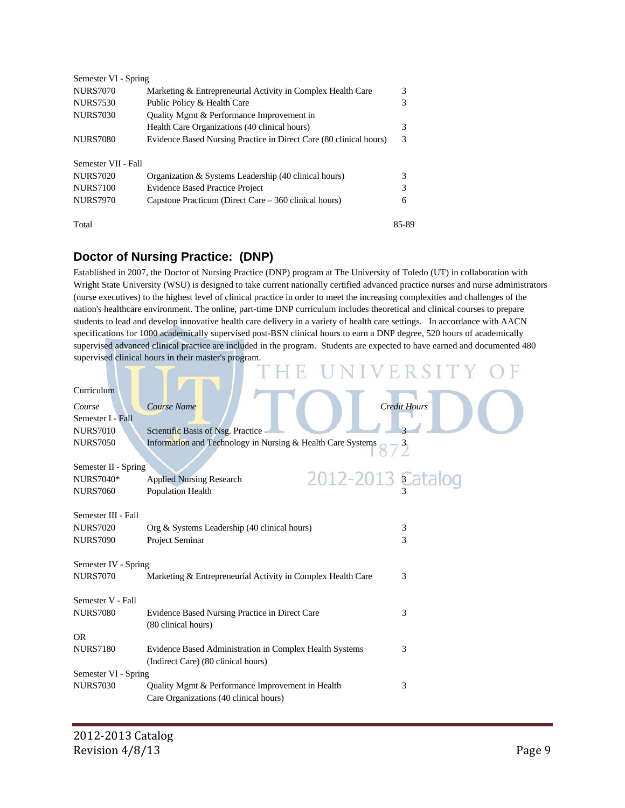| Semester VI - Spring |                                                                    |       |
|----------------------|--------------------------------------------------------------------|-------|
| <b>NURS7070</b>      | Marketing & Entrepreneurial Activity in Complex Health Care        | 3     |
| <b>NURS7530</b>      | Public Policy & Health Care                                        | 3     |
| <b>NURS7030</b>      | Quality Mgmt & Performance Improvement in                          |       |
|                      | Health Care Organizations (40 clinical hours)                      | 3     |
| <b>NURS7080</b>      | Evidence Based Nursing Practice in Direct Care (80 clinical hours) | 3     |
| Semester VII - Fall  |                                                                    |       |
| <b>NURS7020</b>      | Organization & Systems Leadership (40 clinical hours)              | 3     |
| <b>NURS7100</b>      | <b>Evidence Based Practice Project</b>                             | 3     |
| <b>NURS7970</b>      | Capstone Practicum (Direct Care – 360 clinical hours)              | 6     |
| Total                |                                                                    | 85-89 |

# **Doctor of Nursing Practice: (DNP)**

Established in 2007, the Doctor of Nursing Practice (DNP) program at The University of Toledo (UT) in collaboration with Wright State University (WSU) is designed to take current nationally certified advanced practice nurses and nurse administrators (nurse executives) to the highest level of clinical practice in order to meet the increasing complexities and challenges of the nation's healthcare environment. The online, part-time DNP curriculum includes theoretical and clinical courses to prepare students to lead and develop innovative health care delivery in a variety of health care settings. In accordance with AACN specifications for 1000 academically supervised post-BSN clinical hours to earn a DNP degree, 520 hours of academically supervised advanced clinical practice are included in the program. Students are expected to have earned and documented 480 supervised clinical hours in their master's program.

| Curriculum           |                                                             |                     |
|----------------------|-------------------------------------------------------------|---------------------|
| Course               | Course Name                                                 | <b>Credit Hours</b> |
| Semester I - Fall    |                                                             |                     |
| <b>NURS7010</b>      | Scientific Basis of Nsg. Practice                           |                     |
| <b>NURS7050</b>      | Information and Technology in Nursing & Health Care Systems |                     |
|                      |                                                             |                     |
| Semester II - Spring |                                                             |                     |
| <b>NURS7040*</b>     | 2012-2013 Catalog<br><b>Applied Nursing Research</b>        |                     |
| <b>NURS7060</b>      | Population Health                                           |                     |
|                      |                                                             |                     |
| Semester III - Fall  |                                                             |                     |
| <b>NURS7020</b>      | Org & Systems Leadership (40 clinical hours)                | 3<br>3              |
| <b>NURS7090</b>      | Project Seminar                                             |                     |
| Semester IV - Spring |                                                             |                     |
| <b>NURS7070</b>      | Marketing & Entrepreneurial Activity in Complex Health Care | 3                   |
|                      |                                                             |                     |
| Semester V - Fall    |                                                             |                     |
| <b>NURS7080</b>      | Evidence Based Nursing Practice in Direct Care              | 3                   |
|                      | (80 clinical hours)                                         |                     |
| <b>OR</b>            |                                                             |                     |
| <b>NURS7180</b>      | Evidence Based Administration in Complex Health Systems     | 3                   |
|                      | (Indirect Care) (80 clinical hours)                         |                     |
| Semester VI - Spring |                                                             |                     |
| <b>NURS7030</b>      | Quality Mgmt & Performance Improvement in Health            | 3                   |
|                      | Care Organizations (40 clinical hours)                      |                     |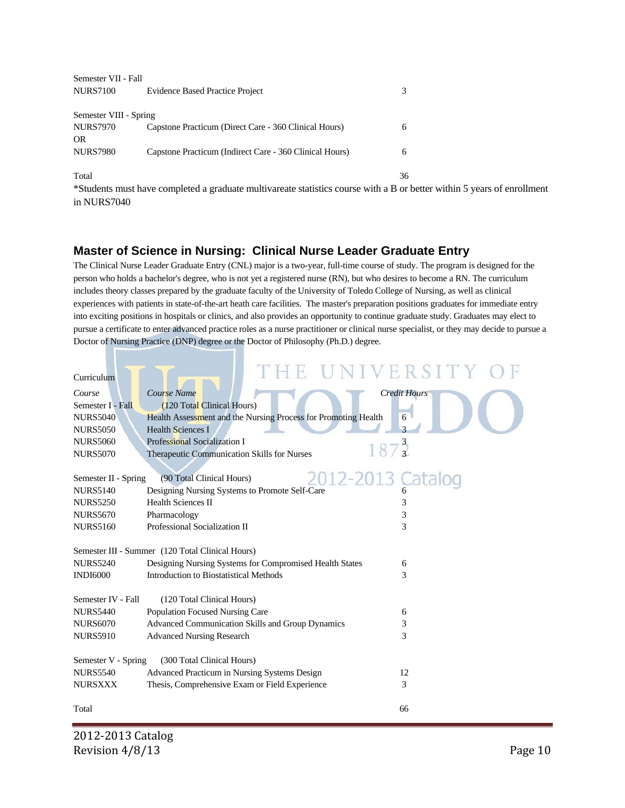| Semester VII - Fall          |                                                         |    |
|------------------------------|---------------------------------------------------------|----|
| <b>NURS7100</b>              | <b>Evidence Based Practice Project</b>                  | 3  |
| Semester VIII - Spring       |                                                         |    |
| <b>NURS7970</b><br><b>OR</b> | Capstone Practicum (Direct Care - 360 Clinical Hours)   | 6  |
| <b>NURS7980</b>              | Capstone Practicum (Indirect Care - 360 Clinical Hours) | 6  |
| Total                        |                                                         | 36 |

\*Students must have completed a graduate multivareate statistics course with a B or better within 5 years of enrollment in NURS7040

#### **Master of Science in Nursing: Clinical Nurse Leader Graduate Entry**

The Clinical Nurse Leader Graduate Entry (CNL) major is a two-year, full-time course of study. The program is designed for the person who holds a bachelor's degree, who is not yet a registered nurse (RN), but who desires to become a RN. The curriculum includes theory classes prepared by the graduate faculty of the University of Toledo College of Nursing, as well as clinical experiences with patients in state-of-the-art heath care facilities. The master's preparation positions graduates for immediate entry into exciting positions in hospitals or clinics, and also provides an opportunity to continue graduate study. Graduates may elect to pursue a certificate to enter advanced practice roles as a nurse practitioner or clinical nurse specialist, or they may decide to pursue a Doctor of Nursing Practice (DNP) degree or the Doctor of Philosophy (Ph.D.) degree.

|                      | THE UNIVERSITY                                                 |                     |
|----------------------|----------------------------------------------------------------|---------------------|
| Curriculum           |                                                                |                     |
| Course               | Course Name                                                    | <b>Credit Hours</b> |
| Semester I - Fall    | (120 Total Clinical Hours)                                     |                     |
| <b>NURS5040</b>      | Health Assessment and the Nursing Process for Promoting Health | 6                   |
| <b>NURS5050</b>      | <b>Health Sciences I</b>                                       |                     |
| <b>NURS5060</b>      | <b>Professional Socialization I</b><br>187 <sup>3</sup>        |                     |
| <b>NURS5070</b>      | Therapeutic Communication Skills for Nurses                    |                     |
|                      |                                                                |                     |
| Semester II - Spring | 2012-2013<br>(90 Total Clinical Hours)                         |                     |
| <b>NURS5140</b>      | Designing Nursing Systems to Promote Self-Care                 |                     |
| <b>NURS5250</b>      | <b>Health Sciences II</b>                                      | 3                   |
| <b>NURS5670</b>      | Pharmacology                                                   | 3                   |
| <b>NURS5160</b>      | Professional Socialization II                                  | 3                   |
|                      | Semester III - Summer (120 Total Clinical Hours)               |                     |
| <b>NURS5240</b>      | Designing Nursing Systems for Compromised Health States        | 6                   |
| <b>INDI6000</b>      | <b>Introduction to Biostatistical Methods</b>                  | 3                   |
|                      |                                                                |                     |
| Semester IV - Fall   | (120 Total Clinical Hours)                                     |                     |
| <b>NURS5440</b>      | Population Focused Nursing Care                                | 6                   |
| <b>NURS6070</b>      | Advanced Communication Skills and Group Dynamics               | 3                   |
| <b>NURS5910</b>      | <b>Advanced Nursing Research</b>                               | 3                   |
|                      |                                                                |                     |
| Semester V - Spring  | (300 Total Clinical Hours)                                     |                     |
| <b>NURS5540</b>      | Advanced Practicum in Nursing Systems Design                   | 12                  |
| <b>NURSXXX</b>       | Thesis, Comprehensive Exam or Field Experience                 | 3                   |
|                      |                                                                |                     |
| Total                |                                                                | 66                  |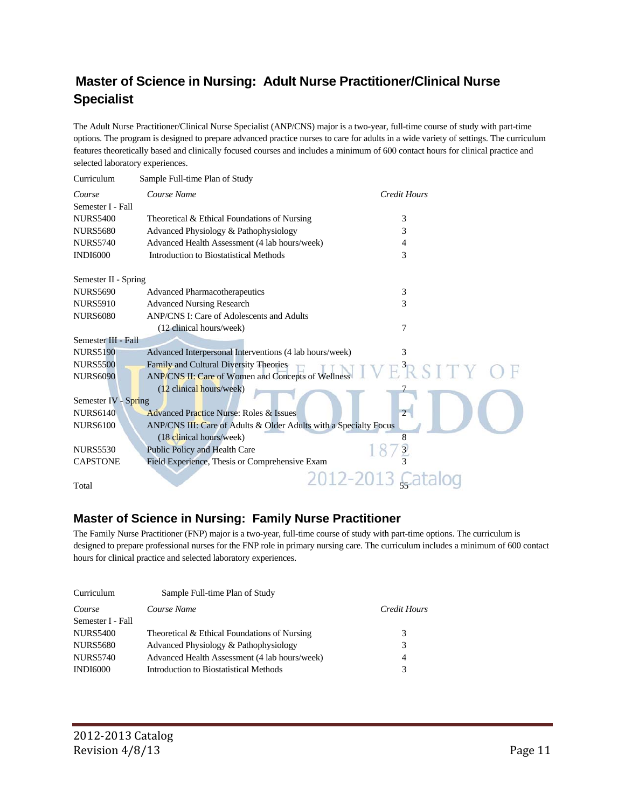# **Master of Science in Nursing: Adult Nurse Practitioner/Clinical Nurse Specialist**

The Adult Nurse Practitioner/Clinical Nurse Specialist (ANP/CNS) major is a two-year, full-time course of study with part-time options. The program is designed to prepare advanced practice nurses to care for adults in a wide variety of settings. The curriculum features theoretically based and clinically focused courses and includes a minimum of 600 contact hours for clinical practice and selected laboratory experiences.

| Curriculum           | Sample Full-time Plan of Study                                    |                         |
|----------------------|-------------------------------------------------------------------|-------------------------|
| Course               | Course Name                                                       | Credit Hours            |
| Semester I - Fall    |                                                                   |                         |
| <b>NURS5400</b>      | Theoretical & Ethical Foundations of Nursing                      | 3                       |
| <b>NURS5680</b>      | Advanced Physiology & Pathophysiology                             | 3                       |
| <b>NURS5740</b>      | Advanced Health Assessment (4 lab hours/week)                     | 4                       |
| <b>INDI6000</b>      | Introduction to Biostatistical Methods                            | 3                       |
| Semester II - Spring |                                                                   |                         |
| <b>NURS5690</b>      | <b>Advanced Pharmacotherapeutics</b>                              | 3                       |
| <b>NURS5910</b>      | <b>Advanced Nursing Research</b>                                  | 3                       |
| <b>NURS6080</b>      | ANP/CNS I: Care of Adolescents and Adults                         |                         |
|                      | (12 clinical hours/week)                                          | 7                       |
| Semester III - Fall  |                                                                   |                         |
| <b>NURS5190</b>      | Advanced Interpersonal Interventions (4 lab hours/week)           | 3                       |
| <b>NURS5500</b>      | Family and Cultural Diversity Theories                            | $E$ $R$ $S$ $I$ $T$ $Y$ |
| <b>NURS6090</b>      | ANP/CNS II: Care of Women and Concepts of Wellness                |                         |
|                      | (12 clinical hours/week)                                          |                         |
| Semester IV - Spring |                                                                   |                         |
| <b>NURS6140</b>      | <b>Advanced Practice Nurse: Roles &amp; Issues</b>                |                         |
| <b>NURS6100</b>      | ANP/CNS III: Care of Adults & Older Adults with a Specialty Focus |                         |
|                      | (18 clinical hours/week)                                          | 8                       |
| <b>NURS5530</b>      | Public Policy and Health Care                                     |                         |
| <b>CAPSTONE</b>      | Field Experience, Thesis or Comprehensive Exam                    |                         |
| Total                |                                                                   | 2012-2013 C             |
|                      |                                                                   |                         |

#### **Master of Science in Nursing: Family Nurse Practitioner**

The Family Nurse Practitioner (FNP) major is a two-year, full-time course of study with part-time options. The curriculum is designed to prepare professional nurses for the FNP role in primary nursing care. The curriculum includes a minimum of 600 contact hours for clinical practice and selected laboratory experiences.

| Curriculum        | Sample Full-time Plan of Study                |                |
|-------------------|-----------------------------------------------|----------------|
| Course            | Course Name                                   | Credit Hours   |
| Semester I - Fall |                                               |                |
| <b>NURS5400</b>   | Theoretical & Ethical Foundations of Nursing  | 3              |
| <b>NURS5680</b>   | Advanced Physiology & Pathophysiology         | 3              |
| <b>NURS5740</b>   | Advanced Health Assessment (4 lab hours/week) | $\overline{4}$ |
| <b>INDI6000</b>   | Introduction to Biostatistical Methods        | 3              |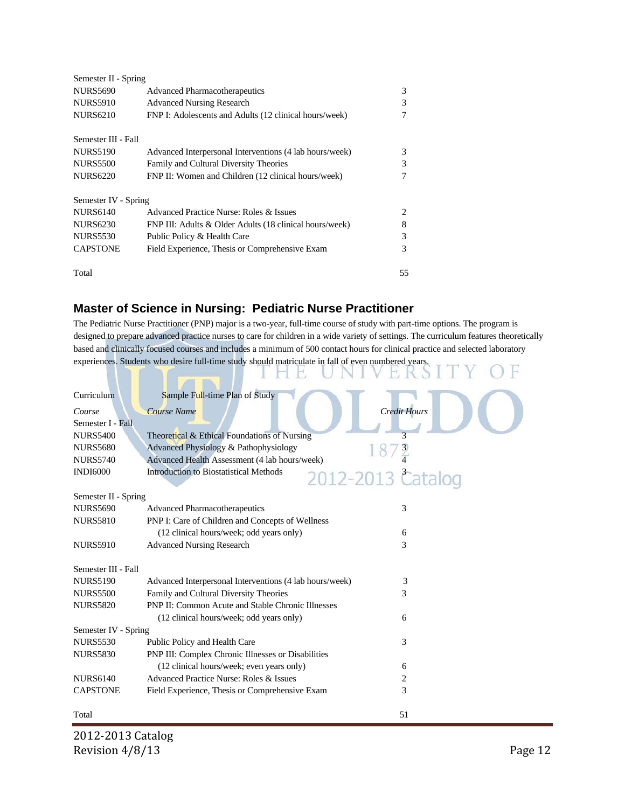| Semester II - Spring |                                                         |    |
|----------------------|---------------------------------------------------------|----|
| <b>NURS5690</b>      | <b>Advanced Pharmacotherapeutics</b>                    | 3  |
| <b>NURS5910</b>      | <b>Advanced Nursing Research</b>                        | 3  |
| <b>NURS6210</b>      | FNP I: Adolescents and Adults (12 clinical hours/week)  |    |
| Semester III - Fall  |                                                         |    |
| <b>NURS5190</b>      | Advanced Interpersonal Interventions (4 lab hours/week) | 3  |
| <b>NURS5500</b>      | Family and Cultural Diversity Theories                  | 3  |
| <b>NURS6220</b>      | FNP II: Women and Children (12 clinical hours/week)     | 7  |
| Semester IV - Spring |                                                         |    |
| <b>NURS6140</b>      | Advanced Practice Nurse: Roles & Issues                 | 2  |
| <b>NURS6230</b>      | FNP III: Adults & Older Adults (18 clinical hours/week) | 8  |
| <b>NURS5530</b>      | Public Policy & Health Care                             | 3  |
| <b>CAPSTONE</b>      | Field Experience, Thesis or Comprehensive Exam          | 3  |
| Total                |                                                         | 55 |

## **Master of Science in Nursing: Pediatric Nurse Practitioner**

The Pediatric Nurse Practitioner (PNP) major is a two-year, full-time course of study with part-time options. The program is designed to prepare advanced practice nurses to care for children in a wide variety of settings. The curriculum features theoretically based and clinically focused courses and includes a minimum of 500 contact hours for clinical practice and selected laboratory experiences. Students who desire full-time study should matriculate in fall of even numbered years.

| Curriculum           | Sample Full-time Plan of Study                                     |
|----------------------|--------------------------------------------------------------------|
| Course               | <b>Credit Hours</b><br><b>Course Name</b>                          |
| Semester I - Fall    |                                                                    |
| <b>NURS5400</b>      | Theoretical & Ethical Foundations of Nursing                       |
| <b>NURS5680</b>      | Advanced Physiology & Pathophysiology                              |
| <b>NURS5740</b>      | Advanced Health Assessment (4 lab hours/week)                      |
| <b>INDI6000</b>      | <b>Introduction to Biostatistical Methods</b><br>2012-2013 Catalog |
| Semester II - Spring |                                                                    |
| <b>NURS5690</b>      | 3<br><b>Advanced Pharmacotherapeutics</b>                          |
| <b>NURS5810</b>      | PNP I: Care of Children and Concepts of Wellness                   |
|                      | (12 clinical hours/week; odd years only)<br>6                      |
| <b>NURS5910</b>      | 3<br><b>Advanced Nursing Research</b>                              |
|                      |                                                                    |
| Semester III - Fall  |                                                                    |
| <b>NURS5190</b>      | Advanced Interpersonal Interventions (4 lab hours/week)<br>3       |
| <b>NURS5500</b>      | 3<br>Family and Cultural Diversity Theories                        |
| <b>NURS5820</b>      | <b>PNP II: Common Acute and Stable Chronic Illnesses</b>           |
|                      | (12 clinical hours/week; odd years only)<br>6                      |
| Semester IV - Spring |                                                                    |
| <b>NURS5530</b>      | 3<br>Public Policy and Health Care                                 |
| <b>NURS5830</b>      | PNP III: Complex Chronic Illnesses or Disabilities                 |
|                      | (12 clinical hours/week; even years only)<br>6                     |
| <b>NURS6140</b>      | Advanced Practice Nurse: Roles & Issues<br>2                       |
| <b>CAPSTONE</b>      | 3<br>Field Experience, Thesis or Comprehensive Exam                |
| Total                | 51                                                                 |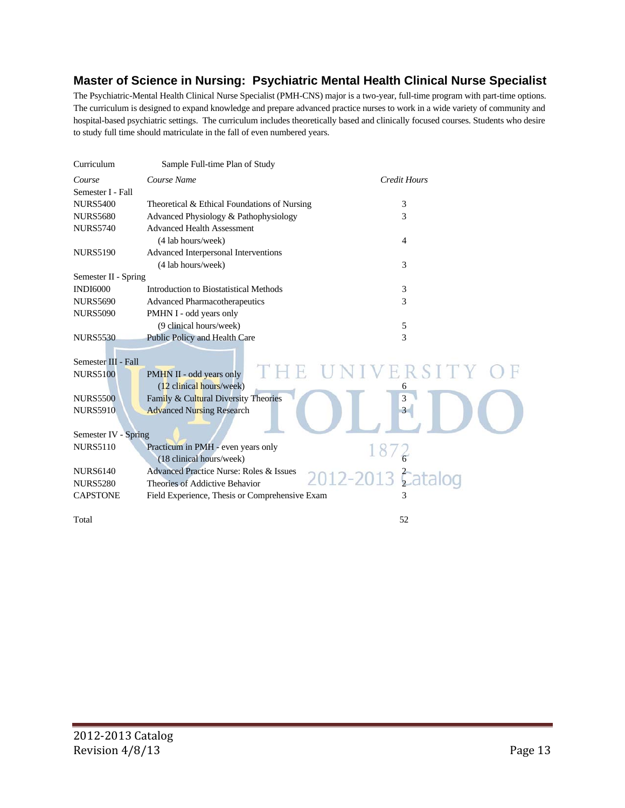#### **Master of Science in Nursing: Psychiatric Mental Health Clinical Nurse Specialist**

The Psychiatric-Mental Health Clinical Nurse Specialist (PMH-CNS) major is a two-year, full-time program with part-time options. The curriculum is designed to expand knowledge and prepare advanced practice nurses to work in a wide variety of community and hospital-based psychiatric settings. The curriculum includes theoretically based and clinically focused courses. Students who desire to study full time should matriculate in the fall of even numbered years.

| Curriculum                             | Sample Full-time Plan of Study                       |                     |
|----------------------------------------|------------------------------------------------------|---------------------|
| Course                                 | Course Name                                          | <b>Credit Hours</b> |
| Semester I - Fall                      |                                                      |                     |
| <b>NURS5400</b>                        | Theoretical & Ethical Foundations of Nursing         | 3                   |
| <b>NURS5680</b>                        | Advanced Physiology & Pathophysiology                | 3                   |
| <b>NURS5740</b>                        | <b>Advanced Health Assessment</b>                    |                     |
|                                        | (4 lab hours/week)                                   | 4                   |
| <b>NURS5190</b>                        | Advanced Interpersonal Interventions                 |                     |
|                                        | (4 lab hours/week)                                   | 3                   |
| Semester II - Spring                   |                                                      |                     |
| <b>INDI6000</b>                        | Introduction to Biostatistical Methods               | 3                   |
| <b>NURS5690</b>                        | <b>Advanced Pharmacotherapeutics</b>                 | 3                   |
| <b>NURS5090</b>                        | PMHN I - odd years only                              |                     |
|                                        | (9 clinical hours/week)                              | 5                   |
| <b>NURS5530</b>                        | Public Policy and Health Care                        | 3                   |
| Semester III - Fall<br><b>NURS5100</b> | PMHN II - odd years only<br>(12 clinical hours/week) | ERSIT<br>6          |
| <b>NURS5500</b>                        | Family & Cultural Diversity Theories                 | 3                   |
| <b>NURS5910</b>                        | <b>Advanced Nursing Research</b>                     | 3                   |
| Semester IV - Spring                   |                                                      |                     |
| <b>NURS5110</b>                        | Practicum in PMH - even years only                   |                     |
|                                        | (18 clinical hours/week)                             |                     |
| <b>NURS6140</b>                        | <b>Advanced Practice Nurse: Roles &amp; Issues</b>   | 2012-2013 Catalog   |
| <b>NURS5280</b>                        | Theories of Addictive Behavior                       |                     |
| <b>CAPSTONE</b>                        | Field Experience, Thesis or Comprehensive Exam       |                     |
| Total                                  |                                                      | 52                  |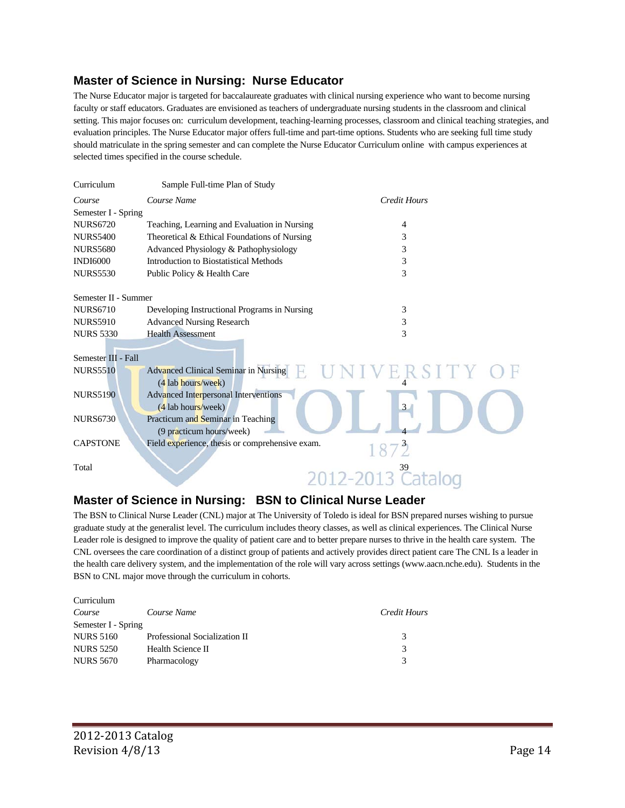#### **Master of Science in Nursing: Nurse Educator**

The Nurse Educator major is targeted for baccalaureate graduates with clinical nursing experience who want to become nursing faculty or staff educators. Graduates are envisioned as teachers of undergraduate nursing students in the classroom and clinical setting. This major focuses on: curriculum development, teaching-learning processes, classroom and clinical teaching strategies, and evaluation principles. The Nurse Educator major offers full-time and part-time options. Students who are seeking full time study should matriculate in the spring semester and can complete the Nurse Educator Curriculum online with campus experiences at selected times specified in the course schedule.

| Curriculum           | Sample Full-time Plan of Study                                |                              |
|----------------------|---------------------------------------------------------------|------------------------------|
| Course               | Course Name                                                   | <b>Credit Hours</b>          |
| Semester I - Spring  |                                                               |                              |
| <b>NURS6720</b>      | Teaching, Learning and Evaluation in Nursing                  | 4                            |
| <b>NURS5400</b>      | Theoretical & Ethical Foundations of Nursing                  | 3                            |
| <b>NURS5680</b>      | Advanced Physiology & Pathophysiology                         | 3                            |
| <b>INDI6000</b>      | Introduction to Biostatistical Methods                        | 3                            |
| <b>NURS5530</b>      | Public Policy & Health Care                                   | 3                            |
|                      |                                                               |                              |
| Semester II - Summer |                                                               |                              |
| <b>NURS6710</b>      | Developing Instructional Programs in Nursing                  | 3                            |
| <b>NURS5910</b>      | <b>Advanced Nursing Research</b>                              | 3                            |
| <b>NURS 5330</b>     | <b>Health Assessment</b>                                      | 3                            |
| Semester III - Fall  |                                                               |                              |
| <b>NURS5510</b>      | <b>Advanced Clinical Seminar in Nursing</b>                   | ERSITY                       |
|                      | (4 lab hours/week)                                            |                              |
| <b>NURS5190</b>      | Advanced Interpersonal Interventions<br>(4 lab hours/week)    | 3 <sup>1</sup>               |
| <b>NURS6730</b>      | Practicum and Seminar in Teaching<br>(9 practicum hours/week) |                              |
| <b>CAPSTONE</b>      | Field experience, thesis or comprehensive exam.               | 1872                         |
| Total                |                                                               | 2012-2013 <sup>39</sup> Cata |
|                      |                                                               |                              |

#### **Master of Science in Nursing: BSN to Clinical Nurse Leader**

The BSN to Clinical Nurse Leader (CNL) major at The University of Toledo is ideal for BSN prepared nurses wishing to pursue graduate study at the generalist level. The curriculum includes theory classes, as well as clinical experiences. The Clinical Nurse Leader role is designed to improve the quality of patient care and to better prepare nurses to thrive in the health care system. The CNL oversees the care coordination of a distinct group of patients and actively provides direct patient care The CNL Is a leader in the health care delivery system, and the implementation of the role will vary across settings (www.aacn.nche.edu). Students in the BSN to CNL major move through the curriculum in cohorts.

| Curriculum          |                               |              |
|---------------------|-------------------------------|--------------|
| Course              | Course Name                   | Credit Hours |
| Semester I - Spring |                               |              |
| <b>NURS 5160</b>    | Professional Socialization II | 3            |
| <b>NURS 5250</b>    | Health Science II             | 3            |
| <b>NURS 5670</b>    | Pharmacology                  |              |
|                     |                               |              |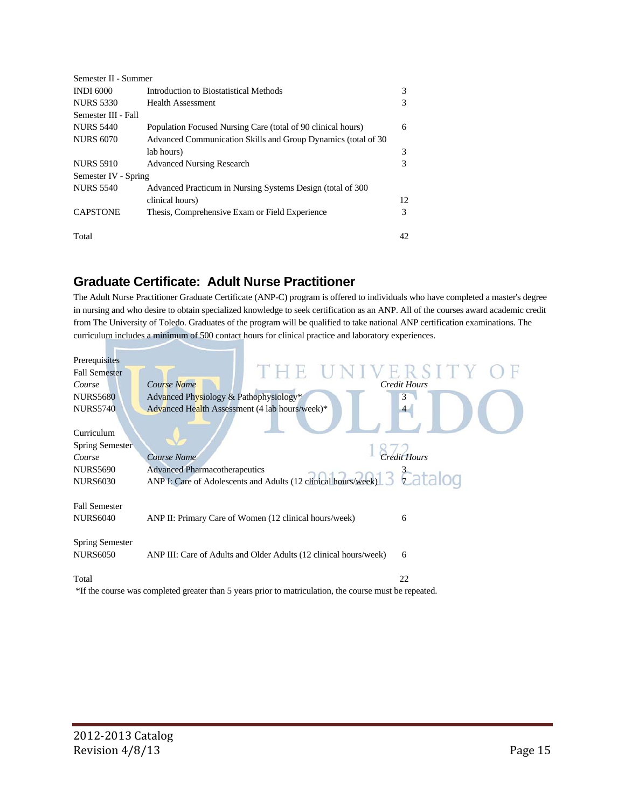| Semester II - Summer |                                                               |    |
|----------------------|---------------------------------------------------------------|----|
| <b>INDI 6000</b>     | Introduction to Biostatistical Methods                        | 3  |
| <b>NURS 5330</b>     | <b>Health Assessment</b>                                      | 3  |
| Semester III - Fall  |                                                               |    |
| <b>NURS 5440</b>     | Population Focused Nursing Care (total of 90 clinical hours)  | 6  |
| <b>NURS 6070</b>     | Advanced Communication Skills and Group Dynamics (total of 30 |    |
|                      | lab hours)                                                    | 3  |
| <b>NURS 5910</b>     | <b>Advanced Nursing Research</b>                              | 3  |
| Semester IV - Spring |                                                               |    |
| <b>NURS 5540</b>     | Advanced Practicum in Nursing Systems Design (total of 300)   |    |
|                      | clinical hours)                                               | 12 |
| <b>CAPSTONE</b>      | Thesis, Comprehensive Exam or Field Experience                | 3  |
| Total                |                                                               | 42 |

# **Graduate Certificate: Adult Nurse Practitioner**

The Adult Nurse Practitioner Graduate Certificate (ANP-C) program is offered to individuals who have completed a master's degree in nursing and who desire to obtain specialized knowledge to seek certification as an ANP. All of the courses award academic credit from The University of Toledo. Graduates of the program will be qualified to take national ANP certification examinations. The curriculum includes a minimum of 500 contact hours for clinical practice and laboratory experiences.

| Prerequisites          |                                                                                                                 |                     |
|------------------------|-----------------------------------------------------------------------------------------------------------------|---------------------|
| <b>Fall Semester</b>   | THE UNIVERSITY O                                                                                                |                     |
| Course                 | Course Name                                                                                                     | <b>Credit Hours</b> |
| <b>NURS5680</b>        | Advanced Physiology & Pathophysiology*                                                                          | 3                   |
| <b>NURS5740</b>        | Advanced Health Assessment (4 lab hours/week)*                                                                  |                     |
|                        |                                                                                                                 |                     |
| Curriculum             |                                                                                                                 |                     |
| Spring Semester        |                                                                                                                 |                     |
| Course                 | Course Name                                                                                                     | Credit Hours        |
| <b>NURS5690</b>        | <b>Advanced Pharmacotherapeutics</b>                                                                            |                     |
| <b>NURS6030</b>        | Auvanceu r narmacouierapeutes<br>ANP I: Care of Adolescents and Adults (12 clinical hours/week) 3 7 7 8 1 8 0 0 |                     |
|                        |                                                                                                                 |                     |
| <b>Fall Semester</b>   |                                                                                                                 |                     |
| <b>NURS6040</b>        | ANP II: Primary Care of Women (12 clinical hours/week)                                                          | 6                   |
|                        |                                                                                                                 |                     |
| <b>Spring Semester</b> |                                                                                                                 |                     |
| <b>NURS6050</b>        | ANP III: Care of Adults and Older Adults (12 clinical hours/week)                                               | 6                   |
|                        |                                                                                                                 |                     |
| Total                  |                                                                                                                 | 22                  |
|                        | *If the course was completed greater than 5 years prior to matriculation, the course must be repeated.          |                     |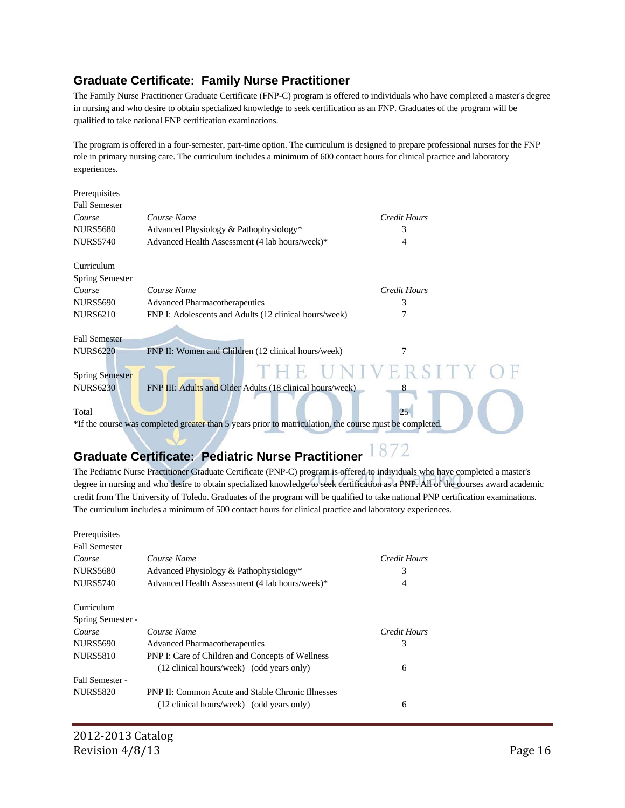#### **Graduate Certificate: Family Nurse Practitioner**

The Family Nurse Practitioner Graduate Certificate (FNP-C) program is offered to individuals who have completed a master's degree in nursing and who desire to obtain specialized knowledge to seek certification as an FNP. Graduates of the program will be qualified to take national FNP certification examinations.

The program is offered in a four-semester, part-time option. The curriculum is designed to prepare professional nurses for the FNP role in primary nursing care. The curriculum includes a minimum of 600 contact hours for clinical practice and laboratory experiences.

| Prerequisites                                                                                           |                                                           |                    |
|---------------------------------------------------------------------------------------------------------|-----------------------------------------------------------|--------------------|
| <b>Fall Semester</b>                                                                                    |                                                           |                    |
| Course                                                                                                  | Course Name                                               | Credit Hours       |
| <b>NURS5680</b>                                                                                         | Advanced Physiology & Pathophysiology*                    | 3                  |
| <b>NURS5740</b>                                                                                         | Advanced Health Assessment (4 lab hours/week)*            | 4                  |
| Curriculum                                                                                              |                                                           |                    |
| Spring Semester                                                                                         |                                                           |                    |
| Course                                                                                                  | Course Name                                               | Credit Hours       |
| <b>NURS5690</b>                                                                                         | <b>Advanced Pharmacotherapeutics</b>                      | 3                  |
| <b>NURS6210</b>                                                                                         | FNP I: Adolescents and Adults (12 clinical hours/week)    | 7                  |
|                                                                                                         |                                                           |                    |
| <b>Fall Semester</b>                                                                                    |                                                           |                    |
| <b>NURS6220</b>                                                                                         | FNP II: Women and Children (12 clinical hours/week)       | 7                  |
| <b>Spring Semester</b>                                                                                  |                                                           | THE UNIVERSITY     |
| <b>NURS6230</b>                                                                                         | FNP III: Adults and Older Adults (18 clinical hours/week) |                    |
|                                                                                                         |                                                           |                    |
| Total                                                                                                   |                                                           | 25                 |
| *If the course was completed greater than 5 years prior to matriculation, the course must be completed. |                                                           |                    |
|                                                                                                         |                                                           |                    |
|                                                                                                         |                                                           | $1 \cap \neg \neg$ |

# **Graduate Certificate: Pediatric Nurse Practitioner**

The Pediatric Nurse Practitioner Graduate Certificate (PNP-C) program is offered to individuals who have completed a master's degree in nursing and who desire to obtain specialized knowledge to seek certification as a PNP. All of the courses award academic credit from The University of Toledo. Graduates of the program will be qualified to take national PNP certification examinations. The curriculum includes a minimum of 500 contact hours for clinical practice and laboratory experiences.

| Prerequisites        |                                                          |              |
|----------------------|----------------------------------------------------------|--------------|
| <b>Fall Semester</b> |                                                          |              |
| Course               | Course Name                                              | Credit Hours |
| <b>NURS5680</b>      | Advanced Physiology & Pathophysiology*                   | 3            |
| <b>NURS5740</b>      | Advanced Health Assessment (4 lab hours/week)*           | 4            |
| Curriculum           |                                                          |              |
| Spring Semester -    |                                                          |              |
| Course               | Course Name                                              | Credit Hours |
| <b>NURS5690</b>      | Advanced Pharmacotherapeutics                            | 3            |
| <b>NURS5810</b>      | PNP I: Care of Children and Concepts of Wellness         |              |
|                      | (12 clinical hours/week) (odd years only)                | 6            |
| Fall Semester -      |                                                          |              |
| <b>NURS5820</b>      | <b>PNP II: Common Acute and Stable Chronic Illnesses</b> |              |
|                      | (12 clinical hours/week) (odd years only)                | 6            |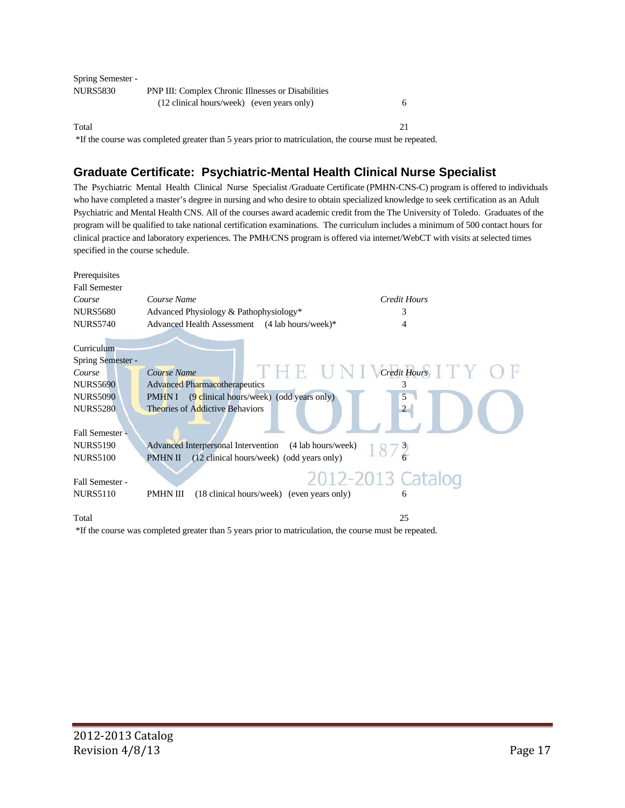| <b>Spring Semester -</b> |                                                           |  |
|--------------------------|-----------------------------------------------------------|--|
| NURS5830                 | <b>PNP III: Complex Chronic Illnesses or Disabilities</b> |  |
|                          | (12 clinical hours/week) (even years only)                |  |
| Total                    |                                                           |  |

\*If the course was completed greater than 5 years prior to matriculation, the course must be repeated.

## **Graduate Certificate: Psychiatric-Mental Health Clinical Nurse Specialist**

The Psychiatric Mental Health Clinical Nurse Specialist /Graduate Certificate (PMHN-CNS-C) program is offered to individuals who have completed a master's degree in nursing and who desire to obtain specialized knowledge to seek certification as an Adult Psychiatric and Mental Health CNS. All of the courses award academic credit from the The University of Toledo. Graduates of the program will be qualified to take national certification examinations. The curriculum includes a minimum of 500 contact hours for clinical practice and laboratory experiences. The PMH/CNS program is offered via internet/WebCT with visits at selected times specified in the course schedule.

| Prerequisites                   |                                                                    |
|---------------------------------|--------------------------------------------------------------------|
| <b>Fall Semester</b>            |                                                                    |
| Course                          | Credit Hours<br>Course Name                                        |
| <b>NURS5680</b>                 | Advanced Physiology & Pathophysiology*<br>3                        |
| <b>NURS5740</b>                 | Advanced Health Assessment (4 lab hours/week)*                     |
| Curriculum<br>Spring Semester - |                                                                    |
| Course                          | Credit Hours<br>THE.<br>Course Name                                |
| <b>NURS5690</b>                 | <b>Advanced Pharmacotherapeutics</b><br>3                          |
| <b>NURS5090</b>                 | (9 clinical hours/week) (odd years only)<br>5<br><b>PMHNI</b>      |
| <b>NURS5280</b>                 | <b>Theories of Addictive Behaviors</b><br>$\mathcal{L}$            |
| Fall Semester -                 |                                                                    |
| <b>NURS5190</b>                 | <b>Advanced Interpersonal Intervention</b><br>(4 lab hours/week)   |
| <b>NURS5100</b>                 | <b>PMHN II</b><br>(12 clinical hours/week) (odd years only)        |
| Fall Semester -                 | 2012-2013 Catalog                                                  |
| <b>NURS5110</b>                 | <b>PMHN III</b><br>(18 clinical hours/week) (even years only)<br>6 |
| Total                           | 25                                                                 |

\*If the course was completed greater than 5 years prior to matriculation, the course must be repeated.